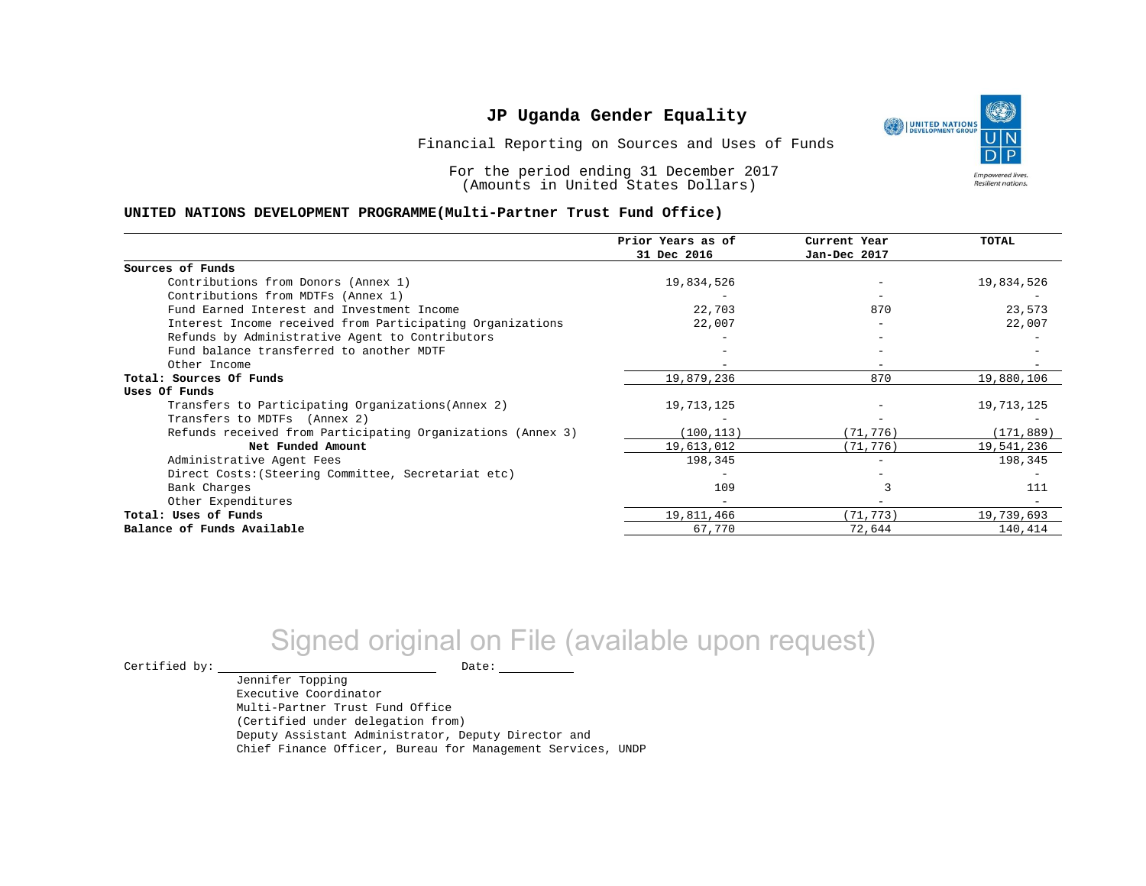UNITED NATIONS **Empowered lives** Resilient nations.

Financial Reporting on Sources and Uses of Funds

For the period ending 31 December 2017 (Amounts in United States Dollars)

#### **UNITED NATIONS DEVELOPMENT PROGRAMME(Multi-Partner Trust Fund Office)**

|                                                             | Prior Years as of | Current Year | TOTAL      |
|-------------------------------------------------------------|-------------------|--------------|------------|
|                                                             | 31 Dec 2016       | Jan-Dec 2017 |            |
| Sources of Funds                                            |                   |              |            |
| Contributions from Donors (Annex 1)                         | 19,834,526        |              | 19,834,526 |
| Contributions from MDTFs (Annex 1)                          |                   |              |            |
| Fund Earned Interest and Investment Income                  | 22,703            | 870          | 23,573     |
| Interest Income received from Participating Organizations   | 22,007            |              | 22,007     |
| Refunds by Administrative Agent to Contributors             |                   |              |            |
| Fund balance transferred to another MDTF                    |                   |              |            |
| Other Income                                                |                   |              |            |
| Total: Sources Of Funds                                     | 19,879,236        | 870          | 19,880,106 |
| Uses Of Funds                                               |                   |              |            |
| Transfers to Participating Organizations (Annex 2)          | 19,713,125        |              | 19,713,125 |
| Transfers to MDTFs (Annex 2)                                |                   |              |            |
| Refunds received from Participating Organizations (Annex 3) | (100, 113)        | (71, 776)    | (171, 889) |
| Net Funded Amount                                           | 19,613,012        | (71,776)     | 19,541,236 |
| Administrative Agent Fees                                   | 198,345           |              | 198,345    |
| Direct Costs: (Steering Committee, Secretariat etc)         |                   |              |            |
| Bank Charges                                                | 109               |              | 111        |
| Other Expenditures                                          |                   |              |            |
| Total: Uses of Funds                                        | 19,811,466        | (71, 773)    | 19,739,693 |
| Balance of Funds Available                                  | 67,770            | 72,644       | 140,414    |

# Signed original on File (available upon request)

 $\begin{tabular}{ccccc} \multicolumn{2}{c|}{\textbf{Certified by:}} & \multicolumn{2}{c|}{\textbf{Date:}} \end{tabular}$ 

Jennifer Topping Executive Coordinator Multi-Partner Trust Fund Office (Certified under delegation from) Deputy Assistant Administrator, Deputy Director and Chief Finance Officer, Bureau for Management Services, UNDP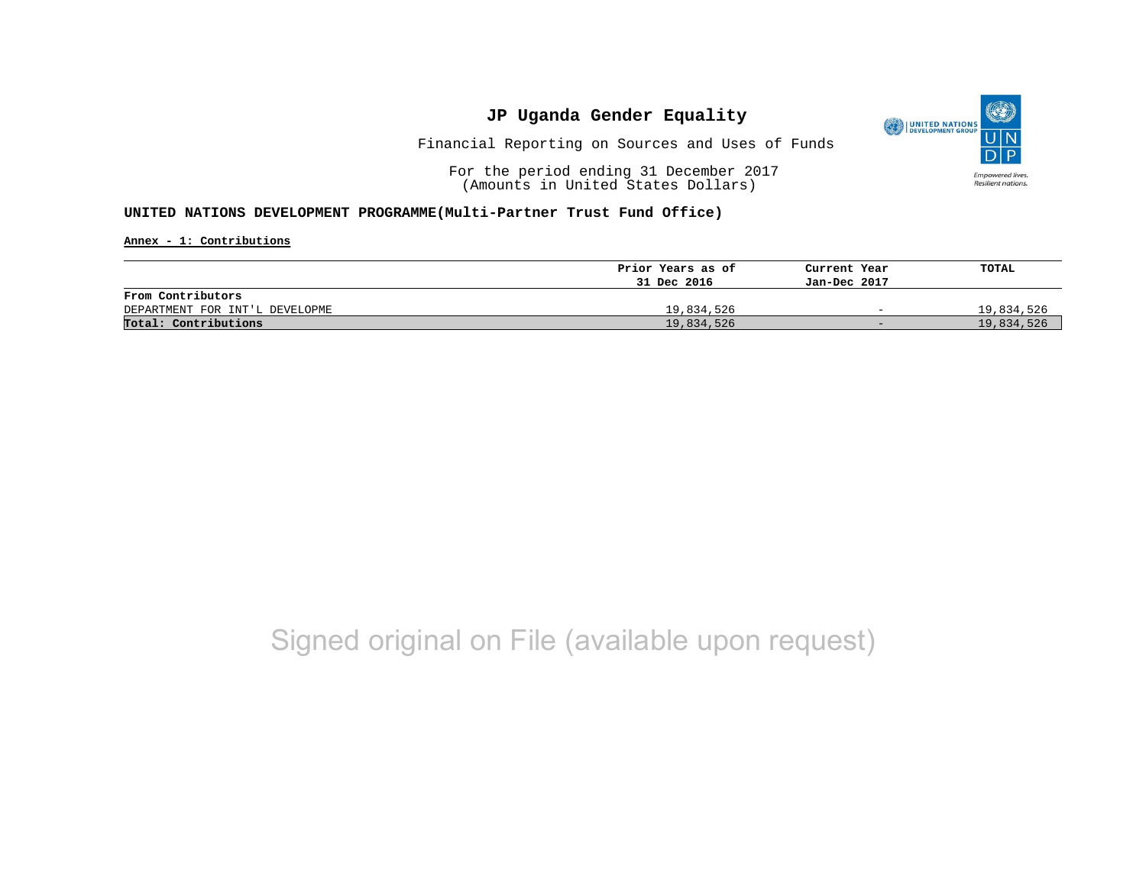

Financial Reporting on Sources and Uses of Funds

For the period ending 31 December 2017 (Amounts in United States Dollars)

### **UNITED NATIONS DEVELOPMENT PROGRAMME(Multi-Partner Trust Fund Office)**

**Annex - 1: Contributions**

|                                | Prior Years as of | Current Year             | TOTAL      |
|--------------------------------|-------------------|--------------------------|------------|
|                                | 31 Dec 2016       | Jan-Dec 2017             |            |
| From Contributors              |                   |                          |            |
| DEPARTMENT FOR INT'L DEVELOPME | 19,834,526        | $\overline{\phantom{0}}$ | 19,834,526 |
| Total: Contributions           | 19,834,526        | $-$                      | 19,834,526 |

## Signed original on File (available upon request)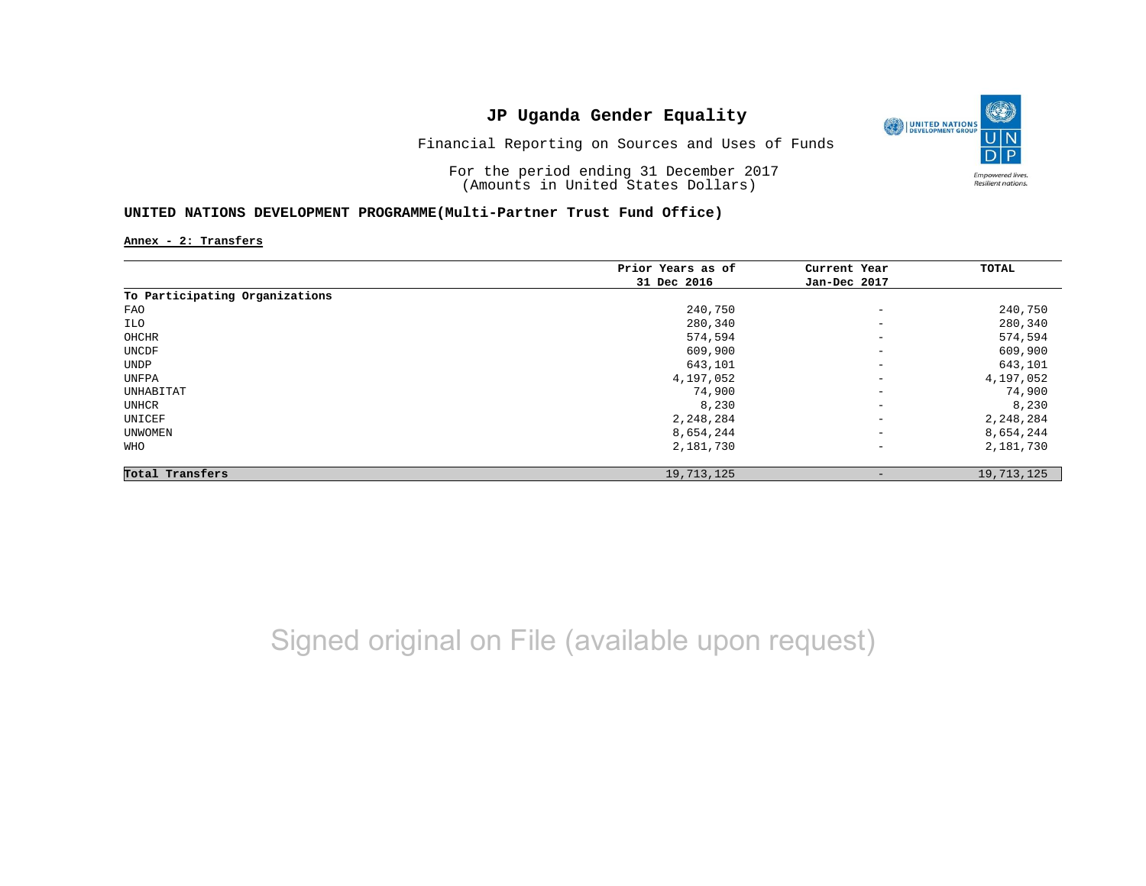

Financial Reporting on Sources and Uses of Funds

For the period ending 31 December 2017 (Amounts in United States Dollars)

### **UNITED NATIONS DEVELOPMENT PROGRAMME(Multi-Partner Trust Fund Office)**

**Annex - 2: Transfers**

|                                | Prior Years as of | Current Year             | TOTAL      |
|--------------------------------|-------------------|--------------------------|------------|
|                                | 31 Dec 2016       | Jan-Dec 2017             |            |
| To Participating Organizations |                   |                          |            |
| FAO                            | 240,750           | $\qquad \qquad -$        | 240,750    |
| ILO                            | 280,340           | $\qquad \qquad -$        | 280,340    |
| OHCHR                          | 574,594           | $\qquad \qquad -$        | 574,594    |
| UNCDF                          | 609,900           | $\overline{\phantom{a}}$ | 609,900    |
| UNDP                           | 643,101           | $\overline{\phantom{a}}$ | 643,101    |
| UNFPA                          | 4,197,052         | $\overline{\phantom{a}}$ | 4,197,052  |
| UNHABITAT                      | 74,900            | $\qquad \qquad -$        | 74,900     |
| UNHCR                          | 8,230             | $\qquad \qquad -$        | 8,230      |
| UNICEF                         | 2,248,284         | $\overline{\phantom{a}}$ | 2,248,284  |
| UNWOMEN                        | 8,654,244         | $\overline{\phantom{a}}$ | 8,654,244  |
| WHO                            | 2,181,730         | $\qquad \qquad -$        | 2,181,730  |
| Total Transfers                | 19,713,125        |                          | 19,713,125 |

Signed original on File (available upon request)